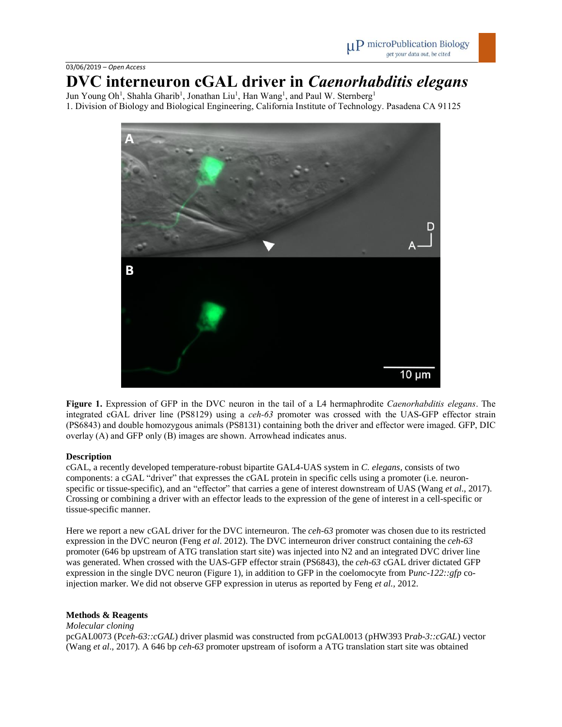# **DVC interneuron cGAL driver in** *Caenorhabditis elegans*

Jun Young Oh<sup>1</sup>, Shahla Gharib<sup>1</sup>, Jonathan Liu<sup>1</sup>, Han Wang<sup>1</sup>, and Paul W. Sternberg<sup>1</sup> 1. Division of Biology and Biological Engineering, California Institute of Technology. Pasadena CA 91125



**Figure 1.** Expression of GFP in the DVC neuron in the tail of a L4 hermaphrodite *Caenorhabditis elegans*. The integrated cGAL driver line (PS8129) using a *ceh-63* promoter was crossed with the UAS-GFP effector strain (PS6843) and double homozygous animals (PS8131) containing both the driver and effector were imaged. GFP, DIC overlay (A) and GFP only (B) images are shown. Arrowhead indicates anus.

## **Description**

cGAL, a recently developed temperature-robust bipartite GAL4-UAS system in *C. elegans*, consists of two components: a cGAL "driver" that expresses the cGAL protein in specific cells using a promoter (i.e. neuronspecific or tissue-specific), and an "effector" that carries a gene of interest downstream of UAS (Wang *et al*., 2017). Crossing or combining a driver with an effector leads to the expression of the gene of interest in a cell-specific or tissue-specific manner.

Here we report a new cGAL driver for the DVC interneuron. The *ceh-63* promoter was chosen due to its restricted expression in the DVC neuron (Feng *et al*. 2012). The DVC interneuron driver construct containing the *ceh-63* promoter (646 bp upstream of ATG translation start site) was injected into N2 and an integrated DVC driver line was generated. When crossed with the UAS-GFP effector strain (PS6843), the *ceh-63* cGAL driver dictated GFP expression in the single DVC neuron (Figure 1), in addition to GFP in the coelomocyte from P*unc-122::gfp* coinjection marker. We did not observe GFP expression in uterus as reported by Feng *et al.,* 2012.

## **Methods & Reagents**

*Molecular cloning*

pcGAL0073 (P*ceh-63::cGAL*) driver plasmid was constructed from pcGAL0013 (pHW393 P*rab-3::cGAL*) vector (Wang *et al*., 2017). A 646 bp *ceh-63* promoter upstream of isoform a ATG translation start site was obtained